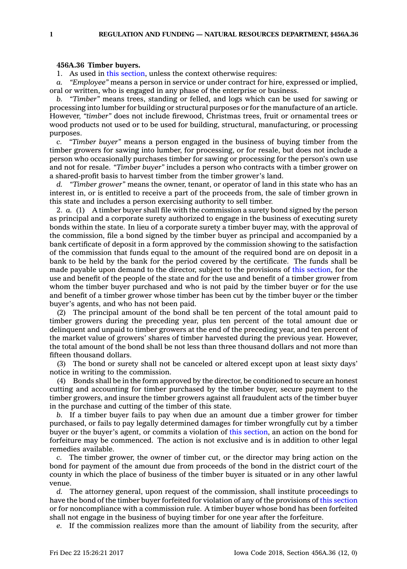## **456A.36 Timber buyers.**

1. As used in this [section](https://www.legis.iowa.gov/docs/code/456A.36.pdf), unless the context otherwise requires:

*a. "Employee"* means <sup>a</sup> person in service or under contract for hire, expressed or implied, oral or written, who is engaged in any phase of the enterprise or business.

*b. "Timber"* means trees, standing or felled, and logs which can be used for sawing or processing into lumber for building or structural purposes or for the manufacture of an article. However, *"timber"* does not include firewood, Christmas trees, fruit or ornamental trees or wood products not used or to be used for building, structural, manufacturing, or processing purposes.

*c. "Timber buyer"* means <sup>a</sup> person engaged in the business of buying timber from the timber growers for sawing into lumber, for processing, or for resale, but does not include <sup>a</sup> person who occasionally purchases timber for sawing or processing for the person's own use and not for resale. *"Timber buyer"* includes <sup>a</sup> person who contracts with <sup>a</sup> timber grower on <sup>a</sup> shared-profit basis to harvest timber from the timber grower's land.

*d. "Timber grower"* means the owner, tenant, or operator of land in this state who has an interest in, or is entitled to receive <sup>a</sup> part of the proceeds from, the sale of timber grown in this state and includes <sup>a</sup> person exercising authority to sell timber.

2. *a.* (1) A timber buyer shall file with the commission <sup>a</sup> surety bond signed by the person as principal and <sup>a</sup> corporate surety authorized to engage in the business of executing surety bonds within the state. In lieu of <sup>a</sup> corporate surety <sup>a</sup> timber buyer may, with the approval of the commission, file <sup>a</sup> bond signed by the timber buyer as principal and accompanied by <sup>a</sup> bank certificate of deposit in <sup>a</sup> form approved by the commission showing to the satisfaction of the commission that funds equal to the amount of the required bond are on deposit in <sup>a</sup> bank to be held by the bank for the period covered by the certificate. The funds shall be made payable upon demand to the director, subject to the provisions of this [section](https://www.legis.iowa.gov/docs/code/456A.36.pdf), for the use and benefit of the people of the state and for the use and benefit of <sup>a</sup> timber grower from whom the timber buyer purchased and who is not paid by the timber buyer or for the use and benefit of <sup>a</sup> timber grower whose timber has been cut by the timber buyer or the timber buyer's agents, and who has not been paid.

(2) The principal amount of the bond shall be ten percent of the total amount paid to timber growers during the preceding year, plus ten percent of the total amount due or delinquent and unpaid to timber growers at the end of the preceding year, and ten percent of the market value of growers' shares of timber harvested during the previous year. However, the total amount of the bond shall be not less than three thousand dollars and not more than fifteen thousand dollars.

(3) The bond or surety shall not be canceled or altered except upon at least sixty days' notice in writing to the commission.

(4) Bonds shall be in the form approved by the director, be conditioned to secure an honest cutting and accounting for timber purchased by the timber buyer, secure payment to the timber growers, and insure the timber growers against all fraudulent acts of the timber buyer in the purchase and cutting of the timber of this state.

*b.* If <sup>a</sup> timber buyer fails to pay when due an amount due <sup>a</sup> timber grower for timber purchased, or fails to pay legally determined damages for timber wrongfully cut by <sup>a</sup> timber buyer or the buyer's agent, or commits <sup>a</sup> violation of this [section](https://www.legis.iowa.gov/docs/code/456A.36.pdf), an action on the bond for forfeiture may be commenced. The action is not exclusive and is in addition to other legal remedies available.

*c.* The timber grower, the owner of timber cut, or the director may bring action on the bond for payment of the amount due from proceeds of the bond in the district court of the county in which the place of business of the timber buyer is situated or in any other lawful venue.

*d.* The attorney general, upon request of the commission, shall institute proceedings to have the bond of the timber buyer forfeited for violation of any of the provisions of this [section](https://www.legis.iowa.gov/docs/code/456A.36.pdf) or for noncompliance with <sup>a</sup> commission rule. A timber buyer whose bond has been forfeited shall not engage in the business of buying timber for one year after the forfeiture.

*e.* If the commission realizes more than the amount of liability from the security, after